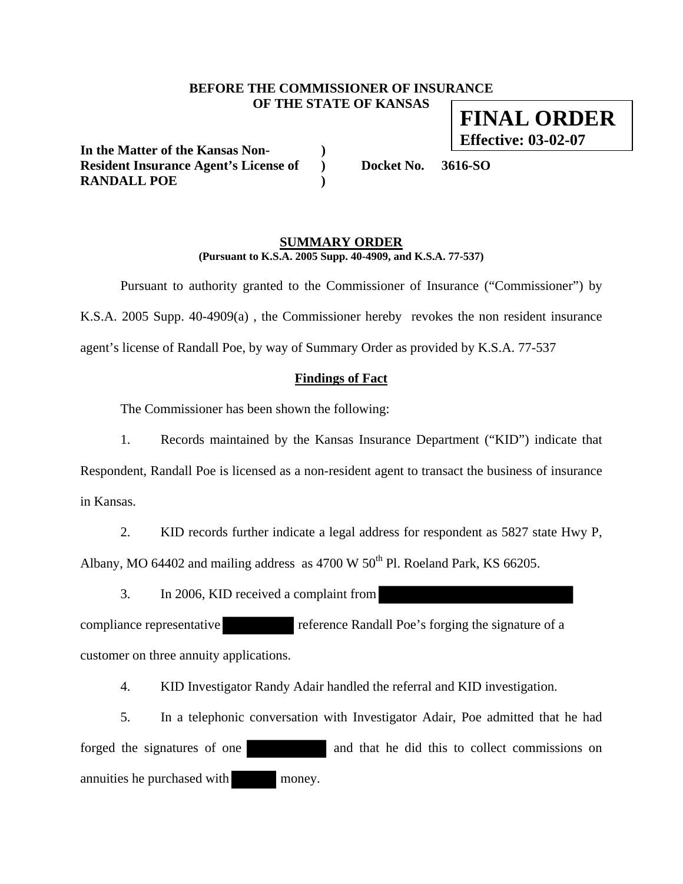## **BEFORE THE COMMISSIONER OF INSURANCE OF THE STATE OF KANSAS FINAL ORDER**

**In the Matter of the Kansas Non- )**  Resident Insurance Agent's License of **Docket No. 3616-SO RANDALL POE )** 

**Effective: 03-02-07**

### **SUMMARY ORDER (Pursuant to K.S.A. 2005 Supp. 40-4909, and K.S.A. 77-537)**

 Pursuant to authority granted to the Commissioner of Insurance ("Commissioner") by K.S.A. 2005 Supp. 40-4909(a) , the Commissioner hereby revokes the non resident insurance agent's license of Randall Poe, by way of Summary Order as provided by K.S.A. 77-537

## **Findings of Fact**

The Commissioner has been shown the following:

1. Records maintained by the Kansas Insurance Department ("KID") indicate that Respondent, Randall Poe is licensed as a non-resident agent to transact the business of insurance in Kansas.

2. KID records further indicate a legal address for respondent as 5827 state Hwy P, Albany, MO 64402 and mailing address as  $4700 \text{ W } 50^{\text{th}}$  Pl. Roeland Park, KS 66205.

3. In 2006, KID received a complaint from

compliance representative reference Randall Poe's forging the signature of a customer on three annuity applications.

4. KID Investigator Randy Adair handled the referral and KID investigation.

5. In a telephonic conversation with Investigator Adair, Poe admitted that he had forged the signatures of one and that he did this to collect commissions on annuities he purchased with money.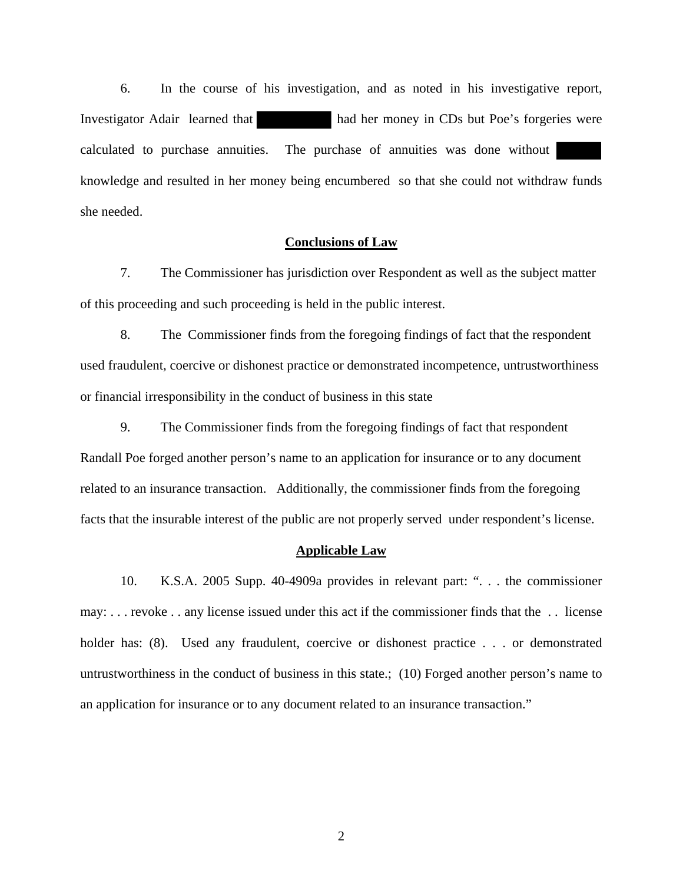6. In the course of his investigation, and as noted in his investigative report, Investigator Adair learned that had her money in CDs but Poe's forgeries were calculated to purchase annuities. The purchase of annuities was done without knowledge and resulted in her money being encumbered so that she could not withdraw funds she needed.

### **Conclusions of Law**

7. The Commissioner has jurisdiction over Respondent as well as the subject matter of this proceeding and such proceeding is held in the public interest.

8. The Commissioner finds from the foregoing findings of fact that the respondent used fraudulent, coercive or dishonest practice or demonstrated incompetence, untrustworthiness or financial irresponsibility in the conduct of business in this state

9. The Commissioner finds from the foregoing findings of fact that respondent Randall Poe forged another person's name to an application for insurance or to any document related to an insurance transaction. Additionally, the commissioner finds from the foregoing facts that the insurable interest of the public are not properly served under respondent's license.

#### **Applicable Law**

10. K.S.A. 2005 Supp. 40-4909a provides in relevant part: ". . . the commissioner may: . . . revoke . . any license issued under this act if the commissioner finds that the . . license holder has: (8). Used any fraudulent, coercive or dishonest practice . . . or demonstrated untrustworthiness in the conduct of business in this state.; (10) Forged another person's name to an application for insurance or to any document related to an insurance transaction."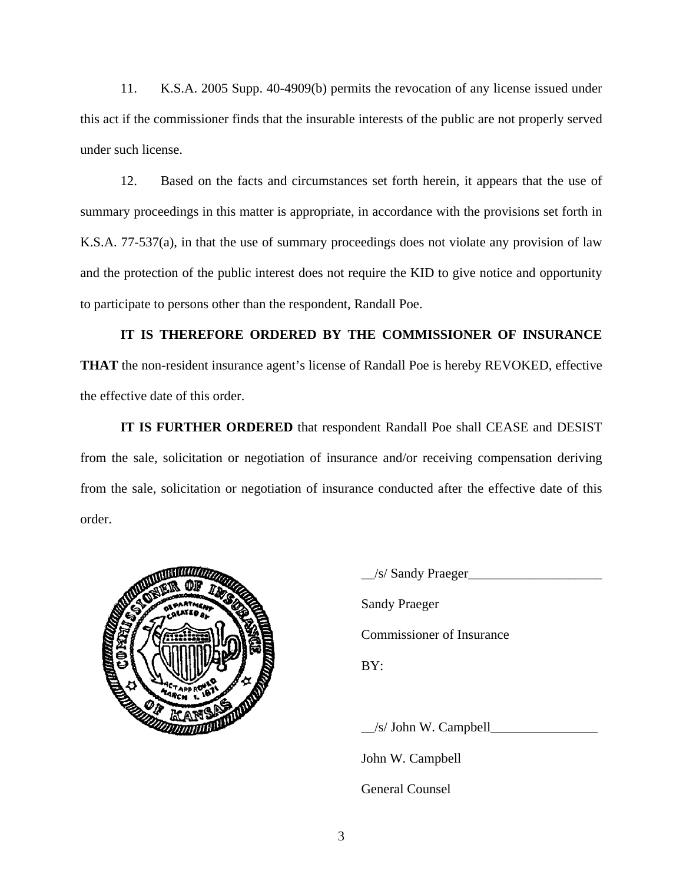11. K.S.A. 2005 Supp. 40-4909(b) permits the revocation of any license issued under this act if the commissioner finds that the insurable interests of the public are not properly served under such license.

12. Based on the facts and circumstances set forth herein, it appears that the use of summary proceedings in this matter is appropriate, in accordance with the provisions set forth in K.S.A. 77-537(a), in that the use of summary proceedings does not violate any provision of law and the protection of the public interest does not require the KID to give notice and opportunity to participate to persons other than the respondent, Randall Poe.

# **IT IS THEREFORE ORDERED BY THE COMMISSIONER OF INSURANCE**

**THAT** the non-resident insurance agent's license of Randall Poe is hereby REVOKED, effective the effective date of this order.

**IT IS FURTHER ORDERED** that respondent Randall Poe shall CEASE and DESIST from the sale, solicitation or negotiation of insurance and/or receiving compensation deriving from the sale, solicitation or negotiation of insurance conducted after the effective date of this order.



 $\angle$ s/ Sandy Praeger $\angle$  Sandy Praeger Commissioner of Insurance  $\angle$ /s/ John W. Campbell $\angle$ John W. Campbell

General Counsel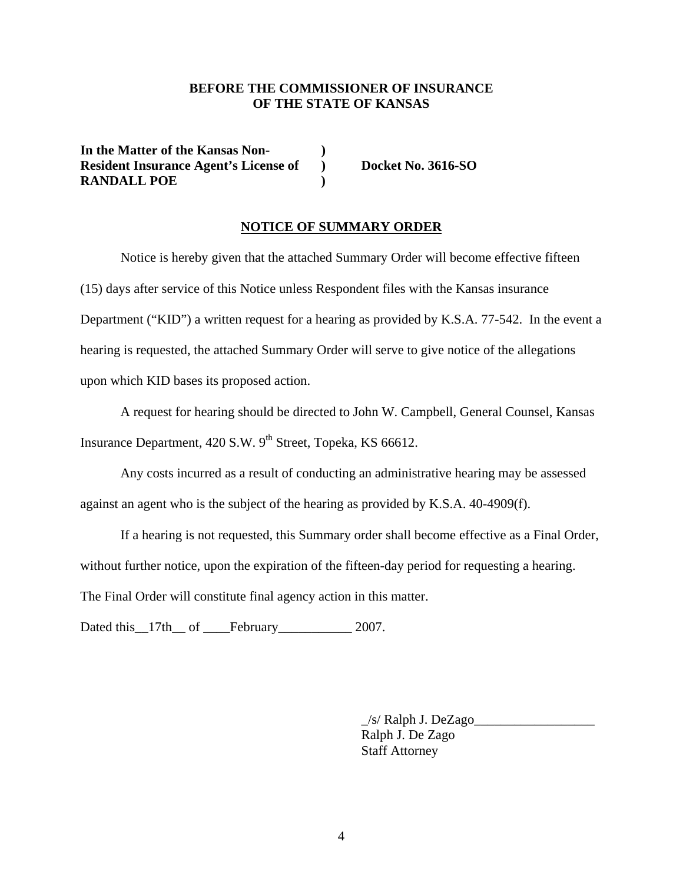## **BEFORE THE COMMISSIONER OF INSURANCE OF THE STATE OF KANSAS**

**In the Matter of the Kansas Non- ) Resident Insurance Agent's License of ) Docket No. 3616-SO RANDALL POE )** 

### **NOTICE OF SUMMARY ORDER**

Notice is hereby given that the attached Summary Order will become effective fifteen (15) days after service of this Notice unless Respondent files with the Kansas insurance Department ("KID") a written request for a hearing as provided by K.S.A. 77-542. In the event a hearing is requested, the attached Summary Order will serve to give notice of the allegations upon which KID bases its proposed action.

A request for hearing should be directed to John W. Campbell, General Counsel, Kansas Insurance Department,  $420$  S.W.  $9<sup>th</sup>$  Street, Topeka, KS 66612.

Any costs incurred as a result of conducting an administrative hearing may be assessed against an agent who is the subject of the hearing as provided by K.S.A. 40-4909(f).

If a hearing is not requested, this Summary order shall become effective as a Final Order, without further notice, upon the expiration of the fifteen-day period for requesting a hearing. The Final Order will constitute final agency action in this matter.

Dated this \_\_17th\_\_ of \_\_\_\_February\_\_\_\_\_\_\_\_\_\_\_\_\_ 2007.

\_/s/ Ralph J. DeZago\_\_\_\_\_\_\_\_\_\_\_\_\_\_\_\_\_\_ Ralph J. De Zago Staff Attorney